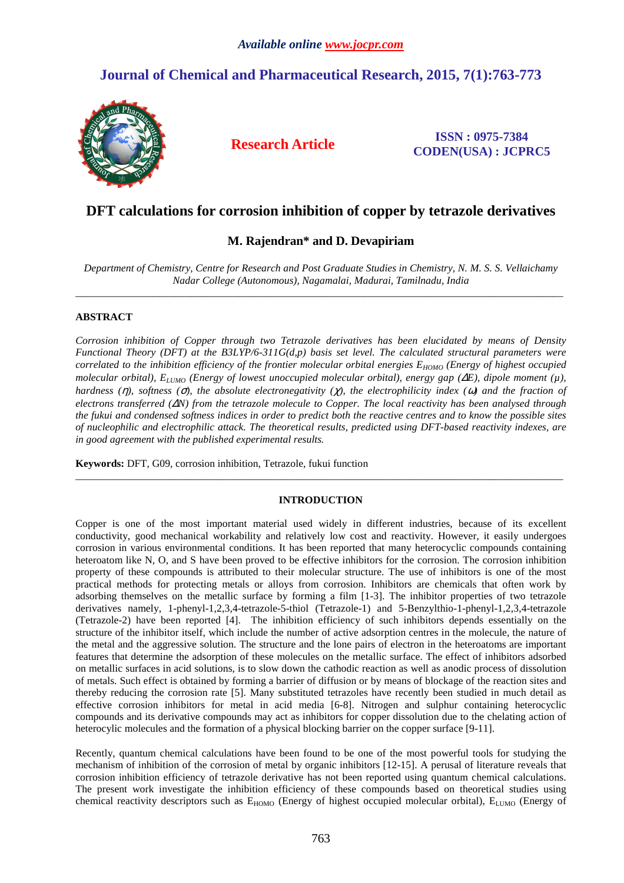# **Journal of Chemical and Pharmaceutical Research, 2015, 7(1):763-773**



**Research Article ISSN : 0975-7384 CODEN(USA) : JCPRC5**

## **DFT calculations for corrosion inhibition of copper by tetrazole derivatives**

## **M. Rajendran\* and D. Devapiriam**

*Department of Chemistry, Centre for Research and Post Graduate Studies in Chemistry, N. M. S. S. Vellaichamy Nadar College (Autonomous), Nagamalai, Madurai, Tamilnadu, India*   $\_$  ,  $\_$  ,  $\_$  ,  $\_$  ,  $\_$  ,  $\_$  ,  $\_$  ,  $\_$  ,  $\_$  ,  $\_$  ,  $\_$  ,  $\_$  ,  $\_$  ,  $\_$  ,  $\_$  ,  $\_$  ,  $\_$  ,  $\_$  ,  $\_$  ,  $\_$  ,  $\_$  ,  $\_$  ,  $\_$  ,  $\_$  ,  $\_$  ,  $\_$  ,  $\_$  ,  $\_$  ,  $\_$  ,  $\_$  ,  $\_$  ,  $\_$  ,  $\_$  ,  $\_$  ,  $\_$  ,  $\_$  ,  $\_$  ,

## **ABSTRACT**

*Corrosion inhibition of Copper through two Tetrazole derivatives has been elucidated by means of Density Functional Theory (DFT) at the B3LYP/6-311G(d,p) basis set level. The calculated structural parameters were correlated to the inhibition efficiency of the frontier molecular orbital energies EHOMO (Energy of highest occupied molecular orbital), ELUMO (Energy of lowest unoccupied molecular orbital), energy gap (*∆*E), dipole moment (µ), hardness (*η*), softness (*σ*), the absolute electronegativity (*χ*), the electrophilicity index (*ω*) and the fraction of electrons transferred (*∆*N) from the tetrazole molecule to Copper. The local reactivity has been analysed through the fukui and condensed softness indices in order to predict both the reactive centres and to know the possible sites of nucleophilic and electrophilic attack. The theoretical results, predicted using DFT-based reactivity indexes, are in good agreement with the published experimental results.* 

**Keywords:** DFT, G09, corrosion inhibition, Tetrazole, fukui function

## **INTRODUCTION**

 $\_$  ,  $\_$  ,  $\_$  ,  $\_$  ,  $\_$  ,  $\_$  ,  $\_$  ,  $\_$  ,  $\_$  ,  $\_$  ,  $\_$  ,  $\_$  ,  $\_$  ,  $\_$  ,  $\_$  ,  $\_$  ,  $\_$  ,  $\_$  ,  $\_$  ,  $\_$  ,  $\_$  ,  $\_$  ,  $\_$  ,  $\_$  ,  $\_$  ,  $\_$  ,  $\_$  ,  $\_$  ,  $\_$  ,  $\_$  ,  $\_$  ,  $\_$  ,  $\_$  ,  $\_$  ,  $\_$  ,  $\_$  ,  $\_$  ,

Copper is one of the most important material used widely in different industries, because of its excellent conductivity, good mechanical workability and relatively low cost and reactivity. However, it easily undergoes corrosion in various environmental conditions. It has been reported that many heterocyclic compounds containing heteroatom like N, O, and S have been proved to be effective inhibitors for the corrosion. The corrosion inhibition property of these compounds is attributed to their molecular structure. The use of inhibitors is one of the most practical methods for protecting metals or alloys from corrosion. Inhibitors are chemicals that often work by adsorbing themselves on the metallic surface by forming a film [1-3]. The inhibitor properties of two tetrazole derivatives namely, 1-phenyl-1,2,3,4-tetrazole-5-thiol (Tetrazole-1) and 5-Benzylthio-1-phenyl-1,2,3,4-tetrazole (Tetrazole-2) have been reported [4]. The inhibition efficiency of such inhibitors depends essentially on the structure of the inhibitor itself, which include the number of active adsorption centres in the molecule, the nature of the metal and the aggressive solution. The structure and the lone pairs of electron in the heteroatoms are important features that determine the adsorption of these molecules on the metallic surface. The effect of inhibitors adsorbed on metallic surfaces in acid solutions, is to slow down the cathodic reaction as well as anodic process of dissolution of metals. Such effect is obtained by forming a barrier of diffusion or by means of blockage of the reaction sites and thereby reducing the corrosion rate [5]. Many substituted tetrazoles have recently been studied in much detail as effective corrosion inhibitors for metal in acid media [6-8]. Nitrogen and sulphur containing heterocyclic compounds and its derivative compounds may act as inhibitors for copper dissolution due to the chelating action of heterocylic molecules and the formation of a physical blocking barrier on the copper surface [9-11].

Recently, quantum chemical calculations have been found to be one of the most powerful tools for studying the mechanism of inhibition of the corrosion of metal by organic inhibitors [12-15]. A perusal of literature reveals that corrosion inhibition efficiency of tetrazole derivative has not been reported using quantum chemical calculations. The present work investigate the inhibition efficiency of these compounds based on theoretical studies using chemical reactivity descriptors such as E<sub>HOMO</sub> (Energy of highest occupied molecular orbital), E<sub>LUMO</sub> (Energy of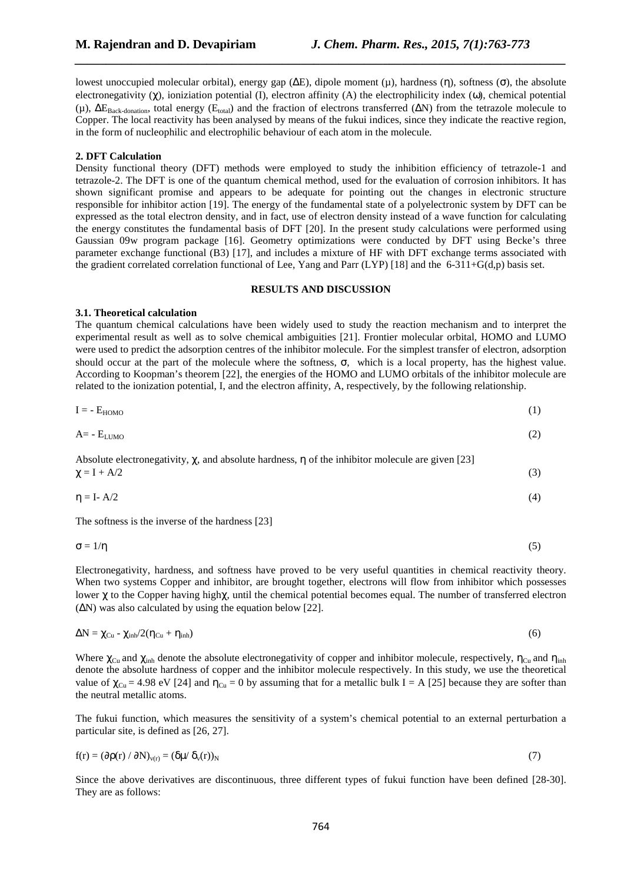lowest unoccupied molecular orbital), energy gap (∆E), dipole moment (µ), hardness (η), softness (σ), the absolute electronegativity  $(\chi)$ , ioniziation potential (I), electron affinity (A) the electrophilicity index (ω), chemical potential (μ),  $\Delta E_{Back-domain}$ , total energy ( $E_{total}$ ) and the fraction of electrons transferred ( $\Delta N$ ) from the tetrazole molecule to Copper. The local reactivity has been analysed by means of the fukui indices, since they indicate the reactive region, in the form of nucleophilic and electrophilic behaviour of each atom in the molecule.

*\_\_\_\_\_\_\_\_\_\_\_\_\_\_\_\_\_\_\_\_\_\_\_\_\_\_\_\_\_\_\_\_\_\_\_\_\_\_\_\_\_\_\_\_\_\_\_\_\_\_\_\_\_\_\_\_\_\_\_\_\_\_\_\_\_\_\_\_\_\_\_\_\_\_\_\_\_\_*

## **2. DFT Calculation**

Density functional theory (DFT) methods were employed to study the inhibition efficiency of tetrazole-1 and tetrazole-2. The DFT is one of the quantum chemical method, used for the evaluation of corrosion inhibitors. It has shown significant promise and appears to be adequate for pointing out the changes in electronic structure responsible for inhibitor action [19]. The energy of the fundamental state of a polyelectronic system by DFT can be expressed as the total electron density, and in fact, use of electron density instead of a wave function for calculating the energy constitutes the fundamental basis of DFT [20]. In the present study calculations were performed using Gaussian 09w program package [16]. Geometry optimizations were conducted by DFT using Becke's three parameter exchange functional (B3) [17], and includes a mixture of HF with DFT exchange terms associated with the gradient correlated correlation functional of Lee, Yang and Parr (LYP) [18] and the 6-311+G(d,p) basis set.

## **RESULTS AND DISCUSSION**

## **3.1. Theoretical calculation**

The quantum chemical calculations have been widely used to study the reaction mechanism and to interpret the experimental result as well as to solve chemical ambiguities [21]. Frontier molecular orbital, HOMO and LUMO were used to predict the adsorption centres of the inhibitor molecule. For the simplest transfer of electron, adsorption should occur at the part of the molecule where the softness, σ, which is a local property, has the highest value. According to Koopman's theorem [22], the energies of the HOMO and LUMO orbitals of the inhibitor molecule are related to the ionization potential, I, and the electron affinity, A, respectively, by the following relationship.

$$
I = -E_{HOMO} \tag{1}
$$

$$
A = -E_{LUMO} \tag{2}
$$

Absolute electromagnetic 
$$
\chi
$$
, and absolute hardness,  $\eta$  of the inhibitor molecule are given [23]  $\chi = I + A/2$  (3)

$$
\eta = I - A/2 \tag{4}
$$

The softness is the inverse of the hardness [23]

$$
\sigma = 1/\eta \tag{5}
$$

Electronegativity, hardness, and softness have proved to be very useful quantities in chemical reactivity theory. When two systems Copper and inhibitor, are brought together, electrons will flow from inhibitor which possesses lower χ to the Copper having highχ, until the chemical potential becomes equal. The number of transferred electron (∆N) was also calculated by using the equation below [22].

$$
\Delta N = \chi_{Cu} - \chi_{inh}/2(\eta_{Cu} + \eta_{inh})
$$
\n(6)

Where  $\chi_{\text{Cu}}$  and  $\chi_{\text{inh}}$  denote the absolute electronegativity of copper and inhibitor molecule, respectively,  $\eta_{\text{Cu}}$  and  $\eta_{\text{inh}}$ denote the absolute hardness of copper and the inhibitor molecule respectively. In this study, we use the theoretical value of  $\chi_{Cu} = 4.98 \text{ eV}$  [24] and  $\eta_{Cu} = 0$  by assuming that for a metallic bulk I = A [25] because they are softer than the neutral metallic atoms.

The fukui function, which measures the sensitivity of a system's chemical potential to an external perturbation a particular site, is defined as [26, 27].

$$
f(r) = (\partial \rho(r) / \partial N)_{v(r)} = (\delta \mu / \delta_v(r))_N
$$
\n(7)

Since the above derivatives are discontinuous, three different types of fukui function have been defined [28-30]. They are as follows: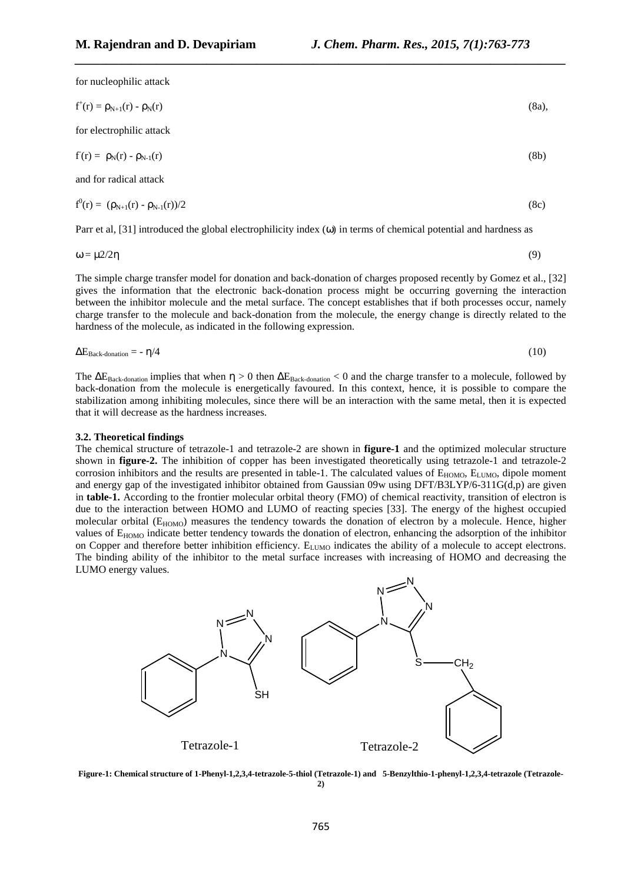for nucleophilic attack

$$
f^{+}(r) = \rho_{N+1}(r) - \rho_{N}(r)
$$
\nfor electric, state

\n
$$
f(r) = \rho_{N}(r) - \rho_{N-1}(r)
$$
\n(8a)

\n(8b)

*\_\_\_\_\_\_\_\_\_\_\_\_\_\_\_\_\_\_\_\_\_\_\_\_\_\_\_\_\_\_\_\_\_\_\_\_\_\_\_\_\_\_\_\_\_\_\_\_\_\_\_\_\_\_\_\_\_\_\_\_\_\_\_\_\_\_\_\_\_\_\_\_\_\_\_\_\_\_*

and for radical attack

$$
f^{0}(r) = (\rho_{N+1}(r) - \rho_{N-1}(r))/2
$$
\n(8c)

Parr et al, [31] introduced the global electrophilicity index (ω) in terms of chemical potential and hardness as

$$
\omega = \mu 2/2\eta \tag{9}
$$

The simple charge transfer model for donation and back-donation of charges proposed recently by Gomez et al., [32] gives the information that the electronic back-donation process might be occurring governing the interaction between the inhibitor molecule and the metal surface. The concept establishes that if both processes occur, namely charge transfer to the molecule and back-donation from the molecule, the energy change is directly related to the hardness of the molecule, as indicated in the following expression.

$$
\Delta E_{\text{Back-domain}} = -\eta/4 \tag{10}
$$

The  $\Delta E_{\text{Back-domain}}$  implies that when  $\eta > 0$  then  $\Delta E_{\text{Back-domain}} < 0$  and the charge transfer to a molecule, followed by back-donation from the molecule is energetically favoured. In this context, hence, it is possible to compare the stabilization among inhibiting molecules, since there will be an interaction with the same metal, then it is expected that it will decrease as the hardness increases.

#### **3.2. Theoretical findings**

The chemical structure of tetrazole-1 and tetrazole-2 are shown in **figure-1** and the optimized molecular structure shown in **figure-2.** The inhibition of copper has been investigated theoretically using tetrazole-1 and tetrazole-2 corrosion inhibitors and the results are presented in table-1. The calculated values of  $E_{HOMO}$ ,  $E_{LUMO}$ , dipole moment and energy gap of the investigated inhibitor obtained from Gaussian 09w using DFT/B3LYP/6-311G(d,p) are given in **table-1.** According to the frontier molecular orbital theory (FMO) of chemical reactivity, transition of electron is due to the interaction between HOMO and LUMO of reacting species [33]. The energy of the highest occupied molecular orbital (E<sub>HOMO</sub>) measures the tendency towards the donation of electron by a molecule. Hence, higher values of E<sub>HOMO</sub> indicate better tendency towards the donation of electron, enhancing the adsorption of the inhibitor on Copper and therefore better inhibition efficiency. E<sub>LUMO</sub> indicates the ability of a molecule to accept electrons. The binding ability of the inhibitor to the metal surface increases with increasing of HOMO and decreasing the LUMO energy values.



**Figure-1: Chemical structure of 1-Phenyl-1,2,3,4-tetrazole-5-thiol (Tetrazole-1) and 5-Benzylthio-1-phenyl-1,2,3,4-tetrazole (Tetrazole-2)**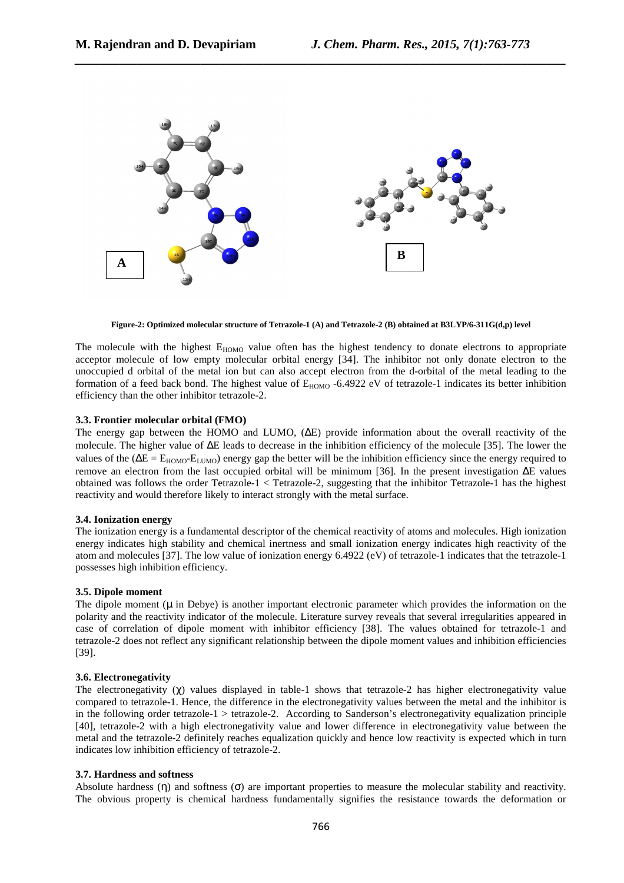

*\_\_\_\_\_\_\_\_\_\_\_\_\_\_\_\_\_\_\_\_\_\_\_\_\_\_\_\_\_\_\_\_\_\_\_\_\_\_\_\_\_\_\_\_\_\_\_\_\_\_\_\_\_\_\_\_\_\_\_\_\_\_\_\_\_\_\_\_\_\_\_\_\_\_\_\_\_\_*

**Figure-2: Optimized molecular structure of Tetrazole-1 (A) and Tetrazole-2 (B) obtained at B3LYP/6-311G(d,p) level** 

The molecule with the highest  $E_{HOMO}$  value often has the highest tendency to donate electrons to appropriate acceptor molecule of low empty molecular orbital energy [34]. The inhibitor not only donate electron to the unoccupied d orbital of the metal ion but can also accept electron from the d-orbital of the metal leading to the formation of a feed back bond. The highest value of  $E_{HOMO}$  -6.4922 eV of tetrazole-1 indicates its better inhibition efficiency than the other inhibitor tetrazole-2.

## **3.3. Frontier molecular orbital (FMO)**

The energy gap between the HOMO and LUMO, (∆E) provide information about the overall reactivity of the molecule. The higher value of ∆E leads to decrease in the inhibition efficiency of the molecule [35]. The lower the values of the ( $\Delta E = E_{HOMO}E_{LIMO}$ ) energy gap the better will be the inhibition efficiency since the energy required to remove an electron from the last occupied orbital will be minimum [36]. In the present investigation ∆E values obtained was follows the order Tetrazole-1 < Tetrazole-2, suggesting that the inhibitor Tetrazole-1 has the highest reactivity and would therefore likely to interact strongly with the metal surface.

#### **3.4. Ionization energy**

The ionization energy is a fundamental descriptor of the chemical reactivity of atoms and molecules. High ionization energy indicates high stability and chemical inertness and small ionization energy indicates high reactivity of the atom and molecules [37]. The low value of ionization energy 6.4922 (eV) of tetrazole-1 indicates that the tetrazole-1 possesses high inhibition efficiency.

#### **3.5. Dipole moment**

The dipole moment  $(\mu$  in Debye) is another important electronic parameter which provides the information on the polarity and the reactivity indicator of the molecule. Literature survey reveals that several irregularities appeared in case of correlation of dipole moment with inhibitor efficiency [38]. The values obtained for tetrazole-1 and tetrazole-2 does not reflect any significant relationship between the dipole moment values and inhibition efficiencies [39].

## **3.6. Electronegativity**

The electronegativity (χ) values displayed in table-1 shows that tetrazole-2 has higher electronegativity value compared to tetrazole-1. Hence, the difference in the electronegativity values between the metal and the inhibitor is in the following order tetrazole-1  $>$  tetrazole-2. According to Sanderson's electronegativity equalization principle [40], tetrazole-2 with a high electronegativity value and lower difference in electronegativity value between the metal and the tetrazole-2 definitely reaches equalization quickly and hence low reactivity is expected which in turn indicates low inhibition efficiency of tetrazole-2.

## **3.7. Hardness and softness**

Absolute hardness  $(\eta)$  and softness  $(\sigma)$  are important properties to measure the molecular stability and reactivity. The obvious property is chemical hardness fundamentally signifies the resistance towards the deformation or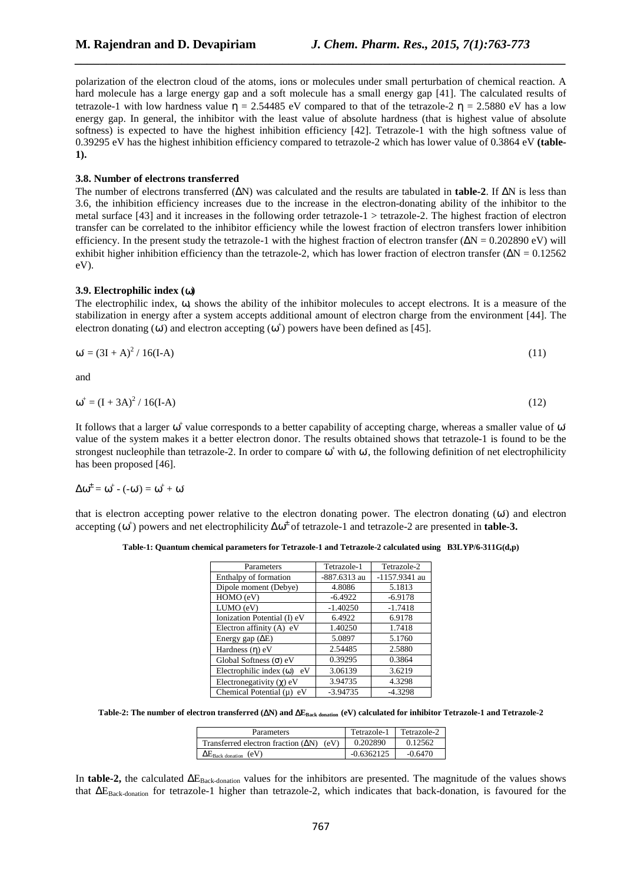polarization of the electron cloud of the atoms, ions or molecules under small perturbation of chemical reaction. A hard molecule has a large energy gap and a soft molecule has a small energy gap [41]. The calculated results of tetrazole-1 with low hardness value  $\eta = 2.54485$  eV compared to that of the tetrazole-2  $\eta = 2.5880$  eV has a low energy gap. In general, the inhibitor with the least value of absolute hardness (that is highest value of absolute softness) is expected to have the highest inhibition efficiency [42]. Tetrazole-1 with the high softness value of 0.39295 eV has the highest inhibition efficiency compared to tetrazole-2 which has lower value of 0.3864 eV **(table-1).** 

*\_\_\_\_\_\_\_\_\_\_\_\_\_\_\_\_\_\_\_\_\_\_\_\_\_\_\_\_\_\_\_\_\_\_\_\_\_\_\_\_\_\_\_\_\_\_\_\_\_\_\_\_\_\_\_\_\_\_\_\_\_\_\_\_\_\_\_\_\_\_\_\_\_\_\_\_\_\_*

#### **3.8. Number of electrons transferred**

The number of electrons transferred (∆N) was calculated and the results are tabulated in **table-2**. If ∆N is less than 3.6, the inhibition efficiency increases due to the increase in the electron-donating ability of the inhibitor to the metal surface [43] and it increases in the following order tetrazole-1 > tetrazole-2. The highest fraction of electron transfer can be correlated to the inhibitor efficiency while the lowest fraction of electron transfers lower inhibition efficiency. In the present study the tetrazole-1 with the highest fraction of electron transfer  $(\Delta N = 0.202890 \text{ eV})$  will exhibit higher inhibition efficiency than the tetrazole-2, which has lower fraction of electron transfer ( $\Delta N = 0.12562$ eV).

#### **3.9. Electrophilic index (**ω**)**

The electrophilic index, ω, shows the ability of the inhibitor molecules to accept electrons. It is a measure of the stabilization in energy after a system accepts additional amount of electron charge from the environment [44]. The electron donating ( $\omega$ ) and electron accepting ( $\omega$ <sup>+</sup>) powers have been defined as [45].

$$
\omega = (3I + A)^2 / 16(I - A)
$$
 (11)

and

$$
\omega^+ = (I + 3A)^2 / 16(I - A)
$$
 (12)

It follows that a larger  $\omega^+$  value corresponds to a better capability of accepting charge, whereas a smaller value of  $\omega$ value of the system makes it a better electron donor. The results obtained shows that tetrazole-1 is found to be the strongest nucleophile than tetrazole-2. In order to compare  $\omega^+$  with  $\omega$ , the following definition of net electrophilicity has been proposed [46].

$$
\Delta\omega^{\pm}=\omega^{\pm}\cdot(-\omega^{\cdot})=\omega^{\pm}+\omega^{\cdot}
$$

that is electron accepting power relative to the electron donating power. The electron donating  $(\omega)$  and electron accepting (ω<sup>+</sup>) powers and net electrophilicity ∆ω<sup>±</sup> of tetrazole-1 and tetrazole-2 are presented in **table-3.** 

**Table-1: Quantum chemical parameters for Tetrazole-1 and Tetrazole-2 calculated using B3LYP/6-311G(d,p)** 

| Parameters                        | Tetrazole-1  | Tetrazole-2   |
|-----------------------------------|--------------|---------------|
| Enthalpy of formation             | -887.6313 au | -1157.9341 au |
| Dipole moment (Debye)             | 4.8086       | 5.1813        |
| HOMO (eV)                         | $-6.4922$    | $-6.9178$     |
| LUMO (eV)                         | $-1.40250$   | $-1.7418$     |
| Ionization Potential (I) eV       | 6.4922       | 6.9178        |
| Electron affinity (A) eV          | 1.40250      | 1.7418        |
| Energy gap $(\Delta E)$           | 5.0897       | 5.1760        |
| Hardness $(\eta)$ eV              | 2.54485      | 2.5880        |
| Global Softness $(\sigma)$ eV     | 0.39295      | 0.3864        |
| Electrophilic index $(\omega)$ eV | 3.06139      | 3.6219        |
| Electronegativity $(\gamma)$ eV   | 3.94735      | 4.3298        |
| Chemical Potential $(\mu)$ eV     | $-3.94735$   | $-4.3298$     |

**Table-2: The number of electron transferred (**∆**N) and** ∆**EBack donation (eV) calculated for inhibitor Tetrazole-1 and Tetrazole-2** 

| Parameters                                          | Tetrazole-1  | Tetrazole-2 |
|-----------------------------------------------------|--------------|-------------|
| Transferred electron fraction $( \Delta N)$<br>(eV) | 0.202890     | 0.12562     |
| $\Delta E_{\rm Back\,donation}$<br>(eV)             | $-0.6362125$ | $-0.6470$   |

In **table-2**, the calculated ∆E<sub>Back-donation</sub> values for the inhibitors are presented. The magnitude of the values shows that ∆EBack-donation for tetrazole-1 higher than tetrazole-2, which indicates that back-donation, is favoured for the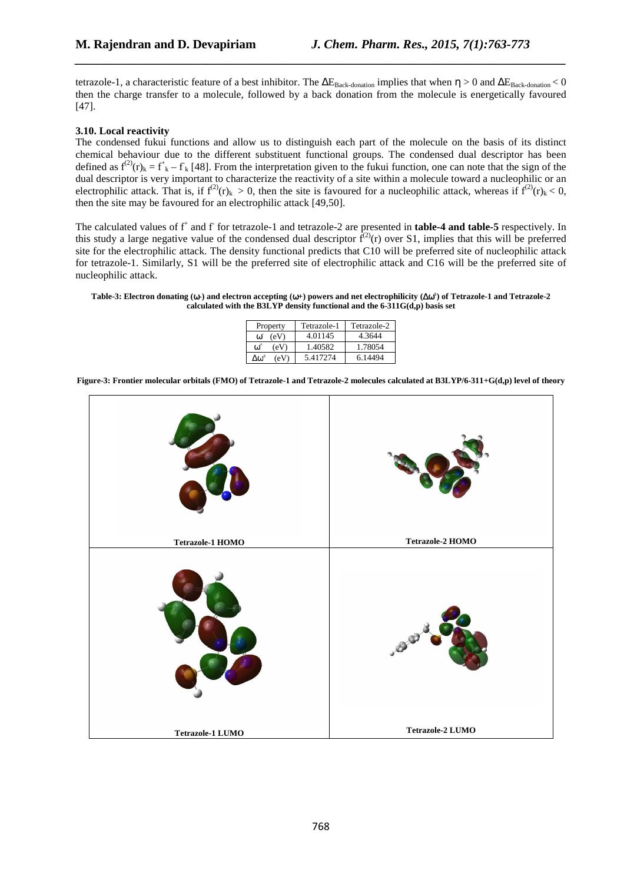tetrazole-1, a characteristic feature of a best inhibitor. The  $\Delta E_{\text{Back-domain}}$  implies that when  $\eta > 0$  and  $\Delta E_{\text{Back-domain}} < 0$ then the charge transfer to a molecule, followed by a back donation from the molecule is energetically favoured [47].

*\_\_\_\_\_\_\_\_\_\_\_\_\_\_\_\_\_\_\_\_\_\_\_\_\_\_\_\_\_\_\_\_\_\_\_\_\_\_\_\_\_\_\_\_\_\_\_\_\_\_\_\_\_\_\_\_\_\_\_\_\_\_\_\_\_\_\_\_\_\_\_\_\_\_\_\_\_\_*

## **3.10. Local reactivity**

The condensed fukui functions and allow us to distinguish each part of the molecule on the basis of its distinct chemical behaviour due to the different substituent functional groups. The condensed dual descriptor has been defined as  $f^{(2)}(r)_k = f^+_{k} - f_k$  [48]. From the interpretation given to the fukui function, one can note that the sign of the dual descriptor is very important to characterize the reactivity of a site within a molecule toward a nucleophilic or an electrophilic attack. That is, if  $f^{(2)}(r)_k > 0$ , then the site is favoured for a nucleophilic attack, whereas if  $f^{(2)}(r)_k < 0$ , then the site may be favoured for an electrophilic attack [49,50].

The calculated values of f<sup>+</sup> and f for tetrazole-1 and tetrazole-2 are presented in **table-4 and table-5** respectively. In this study a large negative value of the condensed dual descriptor  $\hat{f}^{(2)}(r)$  over S1, implies that this will be preferred site for the electrophilic attack. The density functional predicts that C10 will be preferred site of nucleophilic attack for tetrazole-1. Similarly, S1 will be the preferred site of electrophilic attack and C16 will be the preferred site of nucleophilic attack.

#### **Table-3: Electron donating (**ω**-) and electron accepting (**ω**+) powers and net electrophilicity (**∆ω **± ) of Tetrazole-1 and Tetrazole-2 calculated with the B3LYP density functional and the 6-311G(d,p) basis set**

| Property                      | Tetrazole-1 | Tetrazole-2 |  |
|-------------------------------|-------------|-------------|--|
| (eV)<br>∞                     | 4.01145     | 4.3644      |  |
| (eV)<br>$\omega$              | 1.40582     | 1.78054     |  |
| $\Delta \omega^{\pm}$<br>(eV) | 5.417274    | 6.14494     |  |

**Figure-3: Frontier molecular orbitals (FMO) of Tetrazole-1 and Tetrazole-2 molecules calculated at B3LYP/6-311+G(d,p) level of theory** 

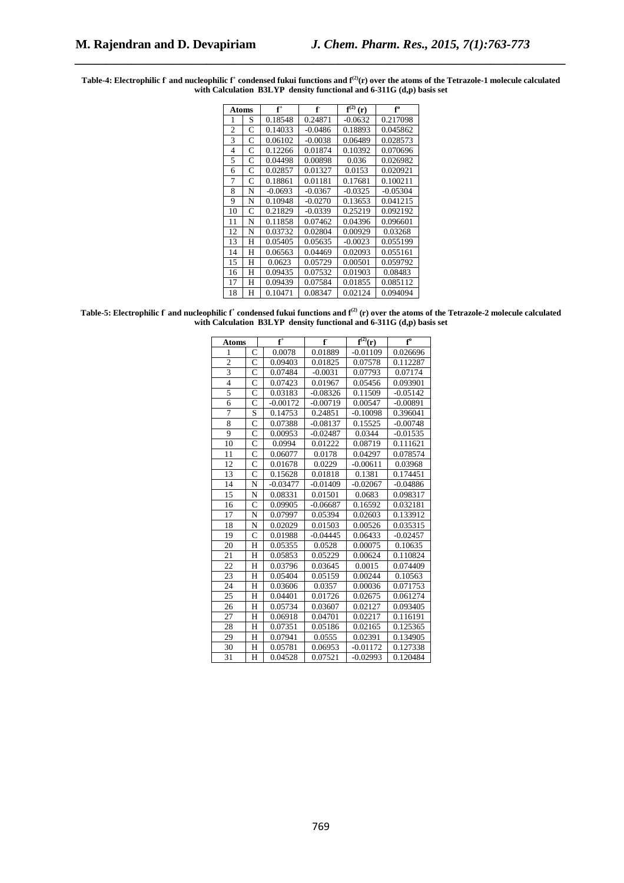Table-4: Electrophilic f and nucleophilic f $^*$  condensed fukui functions and f<sup>(2)</sup>(r) over the atoms of the Tetrazole-1 molecule calculated **with Calculation B3LYP density functional and 6-311G (d,p) basis set** 

*\_\_\_\_\_\_\_\_\_\_\_\_\_\_\_\_\_\_\_\_\_\_\_\_\_\_\_\_\_\_\_\_\_\_\_\_\_\_\_\_\_\_\_\_\_\_\_\_\_\_\_\_\_\_\_\_\_\_\_\_\_\_\_\_\_\_\_\_\_\_\_\_\_\_\_\_\_\_*

| Atoms          |   | $f^+$     | f         | f <sup>(2)</sup><br>(r) | f°         |
|----------------|---|-----------|-----------|-------------------------|------------|
| 1              | S | 0.18548   | 0.24871   | $-0.0632$               | 0.217098   |
| $\overline{c}$ | C | 0.14033   | $-0.0486$ | 0.18893                 | 0.045862   |
| 3              | C | 0.06102   | $-0.0038$ | 0.06489                 | 0.028573   |
| 4              | C | 0.12266   | 0.01874   | 0.10392                 | 0.070696   |
| 5              | C | 0.04498   | 0.00898   | 0.036                   | 0.026982   |
| 6              | C | 0.02857   | 0.01327   | 0.0153                  | 0.020921   |
| 7              | C | 0.18861   | 0.01181   | 0.17681                 | 0.100211   |
| 8              | N | $-0.0693$ | $-0.0367$ | $-0.0325$               | $-0.05304$ |
| 9              | N | 0.10948   | $-0.0270$ | 0.13653                 | 0.041215   |
| 10             | C | 0.21829   | $-0.0339$ | 0.25219                 | 0.092192   |
| 11             | N | 0.11858   | 0.07462   | 0.04396                 | 0.096601   |
| 12             | N | 0.03732   | 0.02804   | 0.00929                 | 0.03268    |
| 13             | Н | 0.05405   | 0.05635   | $-0.0023$               | 0.055199   |
| 14             | Н | 0.06563   | 0.04469   | 0.02093                 | 0.055161   |
| 15             | н | 0.0623    | 0.05729   | 0.00501                 | 0.059792   |
| 16             | н | 0.09435   | 0.07532   | 0.01903                 | 0.08483    |
| 17             | н | 0.09439   | 0.07584   | 0.01855                 | 0.085112   |
| 18             | н | 0.10471   | 0.08347   | 0.02124                 | 0.094094   |

Table-5: Electrophilic  $f$  and nucleophilic  $f^*$  condensed fukui functions and  $f^{(2)}(r)$  over the atoms of the Tetrazole-2 molecule calculated **with Calculation B3LYP density functional and 6-311G (d,p) basis set** 

| Atoms                   |                | $f^+$      | f          | $\overline{\mathbf{f}}^{(2)}(\mathbf{r})$ | $f^0$      |
|-------------------------|----------------|------------|------------|-------------------------------------------|------------|
| 1                       | $\overline{C}$ | 0.0078     | 0.01889    | $-0.01109$                                | 0.026696   |
| $\overline{c}$          | $\overline{C}$ | 0.09403    | 0.01825    | 0.07578                                   | 0.112287   |
| $\overline{\mathbf{3}}$ | $\overline{C}$ | 0.07484    | $-0.0031$  | 0.07793                                   | 0.07174    |
| $\overline{4}$          | $\overline{C}$ | 0.07423    | 0.01967    | 0.05456                                   | 0.093901   |
| 5                       | $\overline{C}$ | 0.03183    | $-0.08326$ | 0.11509                                   | $-0.05142$ |
| 6                       | $\overline{C}$ | $-0.00172$ | $-0.00719$ | 0.00547                                   | $-0.00891$ |
| $\overline{7}$          | S              | 0.14753    | 0.24851    | $-0.10098$                                | 0.396041   |
| 8                       | $\overline{C}$ | 0.07388    | $-0.08137$ | 0.15525                                   | $-0.00748$ |
| $\overline{9}$          | $\overline{C}$ | 0.00953    | $-0.02487$ | 0.0344                                    | $-0.01535$ |
| 10                      | $\overline{C}$ | 0.0994     | 0.01222    | 0.08719                                   | 0.111621   |
| 11                      | $\overline{C}$ | 0.06077    | 0.0178     | 0.04297                                   | 0.078574   |
| 12                      | $\overline{C}$ | 0.01678    | 0.0229     | $-0.00611$                                | 0.03968    |
| 13                      | C              | 0.15628    | 0.01818    | 0.1381                                    | 0.174451   |
| 14                      | $\overline{N}$ | $-0.03477$ | $-0.01409$ | $-0.02067$                                | $-0.04886$ |
| 15                      | N              | 0.08331    | 0.01501    | 0.0683                                    | 0.098317   |
| 16                      | $\overline{C}$ | 0.09905    | $-0.06687$ | 0.16592                                   | 0.032181   |
| 17                      | N              | 0.07997    | 0.05394    | 0.02603                                   | 0.133912   |
| 18                      | N              | 0.02029    | 0.01503    | 0.00526                                   | 0.035315   |
| 19                      | C              | 0.01988    | $-0.04445$ | 0.06433                                   | $-0.02457$ |
| 20                      | H              | 0.05355    | 0.0528     | 0.00075                                   | 0.10635    |
| 21                      | H              | 0.05853    | 0.05229    | 0.00624                                   | 0.110824   |
| 22                      | H              | 0.03796    | 0.03645    | 0.0015                                    | 0.074409   |
| 23                      | H              | 0.05404    | 0.05159    | 0.00244                                   | 0.10563    |
| 24                      | H              | 0.03606    | 0.0357     | 0.00036                                   | 0.071753   |
| 25                      | H              | 0.04401    | 0.01726    | 0.02675                                   | 0.061274   |
| 26                      | H              | 0.05734    | 0.03607    | 0.02127                                   | 0.093405   |
| $27\,$                  | H              | 0.06918    | 0.04701    | 0.02217                                   | 0.116191   |
| 28                      | H              | 0.07351    | 0.05186    | 0.02165                                   | 0.125365   |
| 29                      | H              | 0.07941    | 0.0555     | 0.02391                                   | 0.134905   |
| 30                      | H              | 0.05781    | 0.06953    | $-0.01172$                                | 0.127338   |
| 31                      | H              | 0.04528    | 0.07521    | $-0.02993$                                | 0.120484   |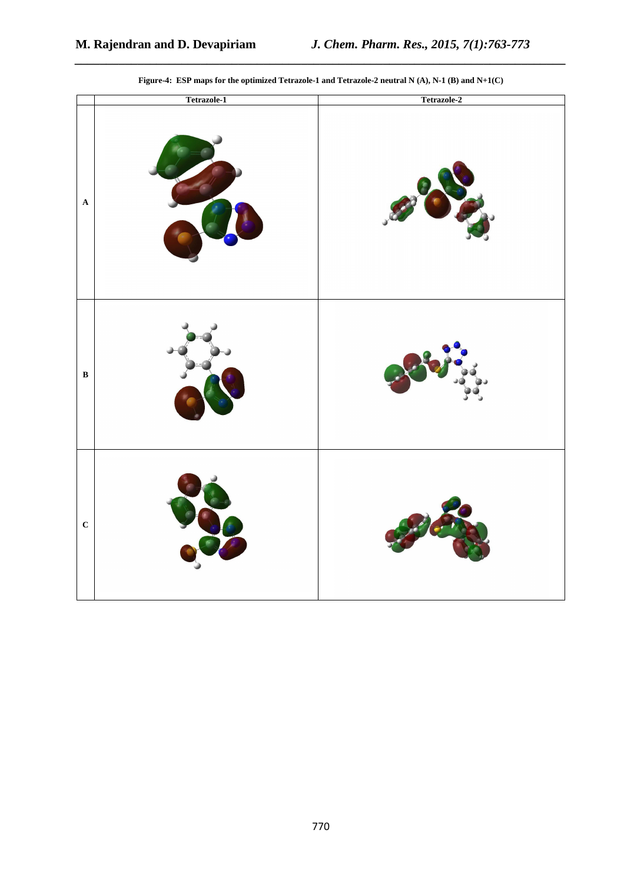|                      | Tetrazole-1 | Tetrazole-2 |
|----------------------|-------------|-------------|
| $\boldsymbol{\rm A}$ |             |             |
| $\, {\bf B}$         |             |             |
| $\mathbf C$          |             |             |

**Figure-4: ESP maps for the optimized Tetrazole-1 and Tetrazole-2 neutral N (A), N-1 (B) and N+1(C)** 

*\_\_\_\_\_\_\_\_\_\_\_\_\_\_\_\_\_\_\_\_\_\_\_\_\_\_\_\_\_\_\_\_\_\_\_\_\_\_\_\_\_\_\_\_\_\_\_\_\_\_\_\_\_\_\_\_\_\_\_\_\_\_\_\_\_\_\_\_\_\_\_\_\_\_\_\_\_\_*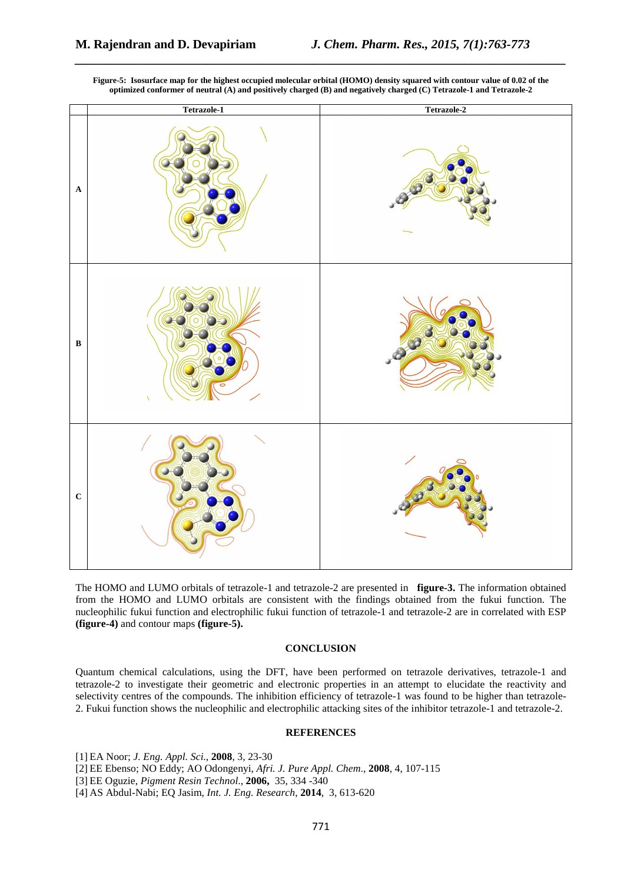

**Figure-5: Isosurface map for the highest occupied molecular orbital (HOMO) density squared with contour value of 0.02 of the optimized conformer of neutral (A) and positively charged (B) and negatively charged (C) Tetrazole-1 and Tetrazole-2** 

*\_\_\_\_\_\_\_\_\_\_\_\_\_\_\_\_\_\_\_\_\_\_\_\_\_\_\_\_\_\_\_\_\_\_\_\_\_\_\_\_\_\_\_\_\_\_\_\_\_\_\_\_\_\_\_\_\_\_\_\_\_\_\_\_\_\_\_\_\_\_\_\_\_\_\_\_\_\_*

The HOMO and LUMO orbitals of tetrazole-1 and tetrazole-2 are presented in **figure-3.** The information obtained from the HOMO and LUMO orbitals are consistent with the findings obtained from the fukui function. The nucleophilic fukui function and electrophilic fukui function of tetrazole-1 and tetrazole-2 are in correlated with ESP **(figure-4)** and contour maps **(figure-5).**

## **CONCLUSION**

Quantum chemical calculations, using the DFT, have been performed on tetrazole derivatives, tetrazole-1 and tetrazole-2 to investigate their geometric and electronic properties in an attempt to elucidate the reactivity and selectivity centres of the compounds. The inhibition efficiency of tetrazole-1 was found to be higher than tetrazole-2. Fukui function shows the nucleophilic and electrophilic attacking sites of the inhibitor tetrazole-1 and tetrazole-2.

## **REFERENCES**

[1] EA Noor; *J. Eng. Appl. Sci*., **2008**, 3, 23-30

[2] EE Ebenso; NO Eddy; AO Odongenyi, *Afri. J. Pure Appl. Chem*., **2008**, 4, 107-115

[3] EE Oguzie, *Pigment Resin Technol*., **2006,** 35, 334 -340

[4] AS Abdul-Nabi; EQ Jasim, *Int. J. Eng. Research*, **2014**, 3, 613-620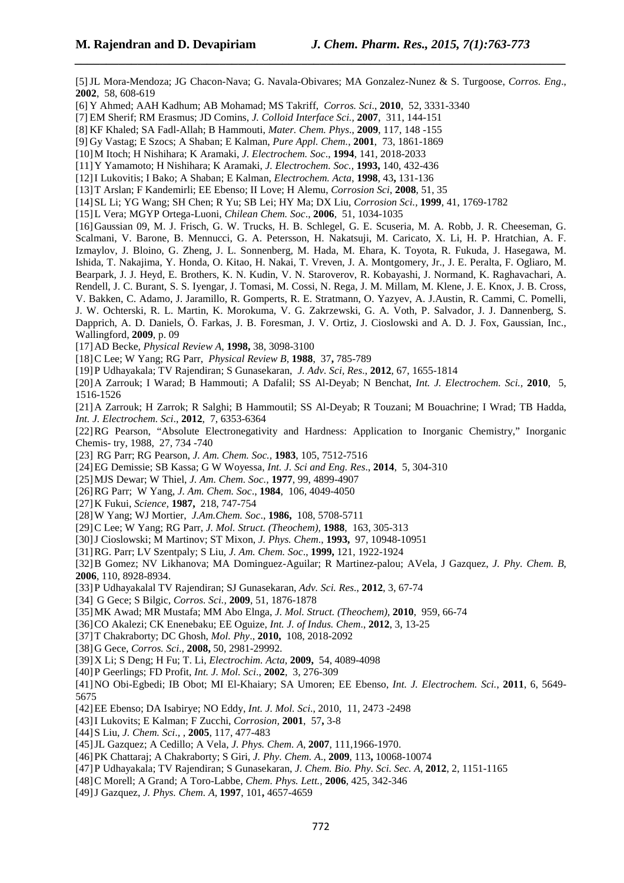[5]JL Mora-Mendoza; JG Chacon-Nava; G. Navala-Obivares; MA Gonzalez-Nunez & S. Turgoose, *Corros. Eng*., **2002**, 58, 608-619 [6] Y Ahmed; AAH Kadhum; AB Mohamad; MS Takriff, *Corros. Sci*., **2010**, 52, 3331-3340 [7] EM Sherif; RM Erasmus; JD Comins, *J. Colloid Interface Sci.,* **2007**, 311, 144-151 [8] KF Khaled; SA Fadl-Allah; B Hammouti, *Mater. Chem. Phys*., **2009**, 117, 148 -155 [9] Gy Vastag; E Szocs; A Shaban; E Kalman, *Pure Appl. Chem.*, **2001**, 73, 1861-1869 [10]M Itoch; H Nishihara; K Aramaki, *J. Electrochem. Soc*., **1994**, 141, 2018-2033 [11]Y Yamamoto; H Nishihara; K Aramaki, *J. Electrochem. Soc.,* **1993,** 140, 432-436 [12]I Lukovitis; I Bako; A Shaban; E Kalman, *Electrochem. Acta*, **1998**, 43**,** 131-136 [13]T Arslan; F Kandemirli; EE Ebenso; II Love; H Alemu, *Corrosion Sci*, **2008**, 51, 35 [14]SL Li; YG Wang; SH Chen; R Yu; SB Lei; HY Ma; DX Liu, *Corrosion Sci.,* **1999**, 41, 1769-1782 [15]L Vera; MGYP Ortega-Luoni, *Chilean Chem. Soc*., **2006**, 51, 1034-1035 [16]Gaussian 09, M. J. Frisch, G. W. Trucks, H. B. Schlegel, G. E. Scuseria, M. A. Robb, J. R. Cheeseman, G. Scalmani, V. Barone, B. Mennucci, G. A. Petersson, H. Nakatsuji, M. Caricato, X. Li, H. P. Hratchian, A. F. Izmaylov, J. Bloino, G. Zheng, J. L. Sonnenberg, M. Hada, M. Ehara, K. Toyota, R. Fukuda, J. Hasegawa, M. Ishida, T. Nakajima, Y. Honda, O. Kitao, H. Nakai, T. Vreven, J. A. Montgomery, Jr., J. E. Peralta, F. Ogliaro, M. Bearpark, J. J. Heyd, E. Brothers, K. N. Kudin, V. N. Staroverov, R. Kobayashi, J. Normand, K. Raghavachari, A. Rendell, J. C. Burant, S. S. Iyengar, J. Tomasi, M. Cossi, N. Rega, J. M. Millam, M. Klene, J. E. Knox, J. B. Cross, V. Bakken, C. Adamo, J. Jaramillo, R. Gomperts, R. E. Stratmann, O. Yazyev, A. J.Austin, R. Cammi, C. Pomelli, J. W. Ochterski, R. L. Martin, K. Morokuma, V. G. Zakrzewski, G. A. Voth, P. Salvador, J. J. Dannenberg, S. Dapprich, A. D. Daniels, Ö. Farkas, J. B. Foresman, J. V. Ortiz, J. Cioslowski and A. D. J. Fox, Gaussian, Inc., Wallingford, **2009**, p. 09

*\_\_\_\_\_\_\_\_\_\_\_\_\_\_\_\_\_\_\_\_\_\_\_\_\_\_\_\_\_\_\_\_\_\_\_\_\_\_\_\_\_\_\_\_\_\_\_\_\_\_\_\_\_\_\_\_\_\_\_\_\_\_\_\_\_\_\_\_\_\_\_\_\_\_\_\_\_\_*

[17]AD Becke, *Physical Review A*, **1998,** 38, 3098-3100

[18]C Lee; W Yang; RG Parr, *Physical Review B,* **1988**, 37**,** 785-789

[19]P Udhayakala; TV Rajendiran; S Gunasekaran, *J. Adv. Sci, Res*., **2012**, 67, 1655-1814

[20]A Zarrouk; I Warad; B Hammouti; A Dafalil; SS Al-Deyab; N Benchat, *Int. J. Electrochem. Sci.,* **2010**, 5, 1516-1526

[21]A Zarrouk; H Zarrok; R Salghi; B Hammoutil; SS Al-Deyab; R Touzani; M Bouachrine; I Wrad; TB Hadda, *Int. J. Electrochem. Sci*., **2012**, 7, 6353-6364

[22]RG Pearson, "Absolute Electronegativity and Hardness: Application to Inorganic Chemistry," Inorganic Chemis- try, 1988, 27, 734 -740

[23] RG Parr; RG Pearson, *J. Am. Chem. Soc.,* **1983**, 105, 7512-7516

[24]EG Demissie; SB Kassa; G W Woyessa, *Int. J. Sci and Eng. Res*., **2014**, 5, 304-310

- [25]MJS Dewar; W Thiel, *J. Am. Chem. Soc.,* **1977**, 99, 4899-4907
- [26]RG Parr; W Yang, *J. Am. Chem. Soc*., **1984**, 106, 4049-4050
- [27]K Fukui, *Science,* **1987,** 218, 747-754
- [28]W Yang; WJ Mortier, *J.Am.Chem. Soc*., **1986,** 108, 5708-5711
- [29]C Lee; W Yang; RG Parr, *J. Mol. Struct. (Theochem),* **1988**, 163, 305-313

[30]J Cioslowski; M Martinov; ST Mixon, *J. Phys. Chem*., **1993,** 97, 10948-10951

[31]RG. Parr; LV Szentpaly; S Liu*, J. Am. Chem. Soc*., **1999,** 121, 1922-1924

[32]B Gomez; NV Likhanova; MA Dominguez-Aguilar; R Martinez-palou; AVela, J Gazquez, *J. Phy. Chem. B*, **2006**, 110, 8928-8934.

[33]P Udhayakalal TV Rajendiran; SJ Gunasekaran, *Adv. Sci. Res*., **2012**, 3, 67-74

- [34] G Gece; S Bilgic, *Corros. Sci.,* **2009**, 51, 1876-1878
- [35]MK Awad; MR Mustafa; MM Abo Elnga, *J. Mol. Struct. (Theochem),* **2010**, 959, 66-74
- [36]CO Akalezi; CK Enenebaku; EE Oguize, *Int. J. of Indus. Chem*., **2012**, 3, 13-25
- [37]T Chakraborty; DC Ghosh, *Mol. Phy*., **2010,** 108, 2018-2092
- [38]G Gece, *Corros. Sci*., **2008,** 50, 2981-29992.
- [39]X Li; S Deng; H Fu; T. Li, *Electrochim. Acta*, **2009,** 54, 4089-4098
- [40]P Geerlings; FD Profit, *Int. J. Mol. Sci*., **2002**, 3, 276-309
- [41]NO Obi-Egbedi; IB Obot; MI El-Khaiary; SA Umoren; EE Ebenso, *Int. J. Electrochem. Sci.*, **2011**, 6, 5649- 5675
- [42]EE Ebenso; DA Isabirye; NO Eddy, *Int. J. Mol. Sci*., 2010, 11, 2473 -2498
- [43]I Lukovits; E Kalman; F Zucchi, *Corrosion,* **2001**, 57**,** 3-8
- [44]S Liu, *J. Chem. Sci*., , **2005**, 117, 477-483
- [45]JL Gazquez; A Cedillo; A Vela, *J. Phys. Chem. A*, **2007**, 111,1966-1970.
- [46]PK Chattaraj; A Chakraborty; S Giri, *J. Phy. Chem. A*., **2009**, 113**,** 10068-10074
- [47]P Udhayakala; TV Rajendiran; S Gunasekaran, *J. Chem. Bio. Phy. Sci. Sec. A*, **2012**, 2, 1151-1165
- [48]C Morell; A Grand; A Toro-Labbe, *Chem. Phys. Lett.,* **2006**, 425, 342-346
- [49]J Gazquez, *J. Phys. Chem. A,* **1997**, 101**,** 4657-4659